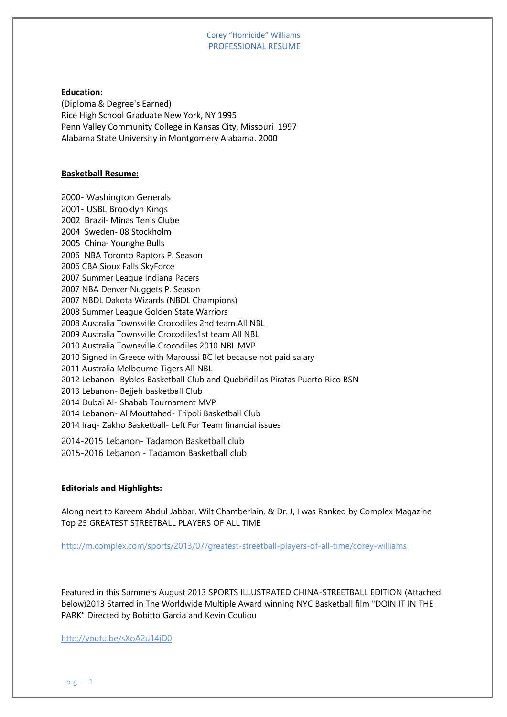#### Corey "Homicide" Williams PROFESSIONAL RESUME

**Education:** (Diploma & Degree's Earned) Rice High School Graduate New York, NY 1995 Penn Valley Community College in Kansas City, Missouri 1997 Alabama State University in Montgomery Alabama. 2000

### **Basketball Resume:**

2000- Washington Generals 2001- USBL Brooklyn Kings 2002 Brazil- Minas Tenis Clube 2004 Sweden- 08 Stockholm 2005 China- Younghe Bulls 2006 NBA Toronto Raptors P. Season 2006 CBA Sioux Falls SkyForce 2007 Summer League Indiana Pacers 2007 NBA Denver Nuggets P. Season 2007 NBDL Dakota Wizards (NBDL Champions) 2008 Summer League Golden State Warriors 2008 Australia Townsville Crocodiles 2nd team All NBL 2009 Australia Townsville Crocodiles1st team All NBL 2010 Australia Townsville Crocodiles 2010 NBL MVP 2010 Signed in Greece with Maroussi BC let because not paid salary 2011 Australia Melbourne Tigers All NBL 2012 Lebanon- Byblos Basketball Club and Quebridillas Piratas Puerto Rico BSN 2013 Lebanon- Bejjeh basketball Club 2014 Dubai Al- Shabab Tournament MVP 2014 Lebanon- Al Mouttahed- Tripoli Basketball Club 2014 Iraq- Zakho Basketball- Left For Team financial issues

2014-2015 Lebanon- Tadamon Basketball club 2015-2016 Lebanon - Tadamon Basketball club

## **Editorials and Highlights:**

Along next to Kareem Abdul Jabbar, Wilt Chamberlain, & Dr. J, I was Ranked by Complex Magazine Top 25 GREATEST STREETBALL PLAYERS OF ALL TIME

<http://m.complex.com/sports/2013/07/greatest-streetball-players-of-all-time/corey-williams>

Featured in this Summers August 2013 SPORTS ILLUSTRATED CHINA-STREETBALL EDITION (Attached below)2013 Starred in The Worldwide Multiple Award winning NYC Basketball film "DOIN IT IN THE PARK" Directed by Bobitto Garcia and Kevin Couliou

<http://youtu.be/sXoA2u14jD0>